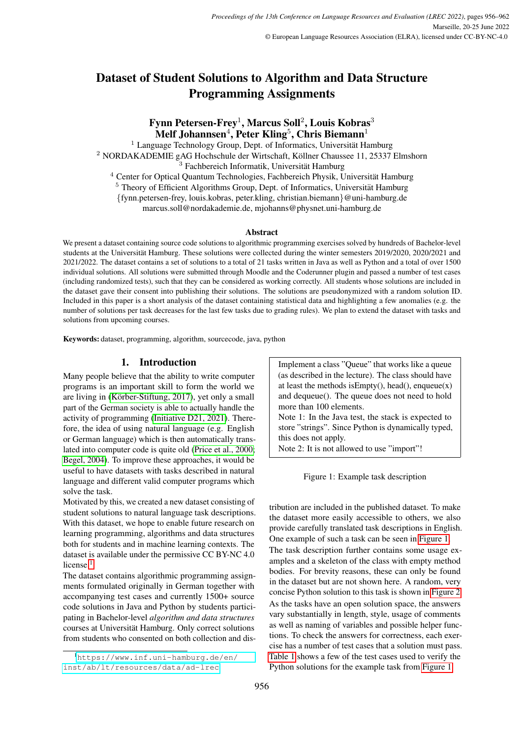# Dataset of Student Solutions to Algorithm and Data Structure Programming Assignments

# Fynn Petersen-Frey $^1$ , Marcus Soll $^2$ , Louis Kobras $^3$  $\mathbf{M}$ elf Johannsen $^4$ , Peter Kling $^5$ , Chris Biemann $^1$

 Language Technology Group, Dept. of Informatics, Universität Hamburg <sup>2</sup> NORDAKADEMIE gAG Hochschule der Wirtschaft, Köllner Chaussee 11, 25337 Elmshorn Fachbereich Informatik, Universität Hamburg Center for Optical Quantum Technologies, Fachbereich Physik, Universität Hamburg

 $5$  Theory of Efficient Algorithms Group, Dept. of Informatics, Universität Hamburg

{fynn.petersen-frey, louis.kobras, peter.kling, christian.biemann}@uni-hamburg.de

marcus.soll@nordakademie.de, mjohanns@physnet.uni-hamburg.de

#### Abstract

We present a dataset containing source code solutions to algorithmic programming exercises solved by hundreds of Bachelor-level students at the Universität Hamburg. These solutions were collected during the winter semesters 2019/2020, 2020/2021 and 2021/2022. The dataset contains a set of solutions to a total of 21 tasks written in Java as well as Python and a total of over 1500 individual solutions. All solutions were submitted through Moodle and the Coderunner plugin and passed a number of test cases (including randomized tests), such that they can be considered as working correctly. All students whose solutions are included in the dataset gave their consent into publishing their solutions. The solutions are pseudonymized with a random solution ID. Included in this paper is a short analysis of the dataset containing statistical data and highlighting a few anomalies (e.g. the number of solutions per task decreases for the last few tasks due to grading rules). We plan to extend the dataset with tasks and solutions from upcoming courses.

Keywords: dataset, programming, algorithm, sourcecode, java, python

# 1. Introduction

Many people believe that the ability to write computer programs is an important skill to form the world we are living in (Körber-Stiftung, 2017), yet only a small part of the German society is able to actually handle the activity of programming [\(Initiative D21, 2021\)](#page-6-1). Therefore, the idea of using natural language (e.g. English or German language) which is then automatically translated into computer code is quite old [\(Price et al., 2000;](#page-6-2) [Begel, 2004\)](#page-6-3). To improve these approaches, it would be useful to have datasets with tasks described in natural language and different valid computer programs which solve the task.

Motivated by this, we created a new dataset consisting of student solutions to natural language task descriptions. With this dataset, we hope to enable future research on learning programming, algorithms and data structures both for students and in machine learning contexts. The dataset is available under the permissive CC BY-NC 4.0 license. $<sup>1</sup>$  $<sup>1</sup>$  $<sup>1</sup>$ </sup>

The dataset contains algorithmic programming assignments formulated originally in German together with accompanying test cases and currently 1500+ source code solutions in Java and Python by students participating in Bachelor-level *algorithm and data structures* courses at Universität Hamburg. Only correct solutions from students who consented on both collection and disImplement a class "Queue" that works like a queue (as described in the lecture). The class should have at least the methods is  $Empty()$ , head $()$ , enqueue $(x)$ and dequeue(). The queue does not need to hold more than 100 elements. Note 1: In the Java test, the stack is expected to

store "strings". Since Python is dynamically typed, this does not apply.

Note 2: It is not allowed to use "import"!

<span id="page-0-1"></span>Figure 1: Example task description

tribution are included in the published dataset. To make the dataset more easily accessible to others, we also provide carefully translated task descriptions in English. One example of such a task can be seen in [Figure 1.](#page-0-1)

The task description further contains some usage examples and a skeleton of the class with empty method bodies. For brevity reasons, these can only be found in the dataset but are not shown here. A random, very concise Python solution to this task is shown in [Figure 2.](#page-1-0) As the tasks have an open solution space, the answers vary substantially in length, style, usage of comments as well as naming of variables and possible helper functions. To check the answers for correctness, each exercise has a number of test cases that a solution must pass. [Table 1](#page-1-1) shows a few of the test cases used to verify the Python solutions for the example task from [Figure 1.](#page-0-1)

<span id="page-0-0"></span><sup>1</sup>[https://www.inf.uni-hamburg.de/en/](https://www.inf.uni-hamburg.de/en/inst/ab/lt/resources/data/ad-lrec) [inst/ab/lt/resources/data/ad-lrec](https://www.inf.uni-hamburg.de/en/inst/ab/lt/resources/data/ad-lrec)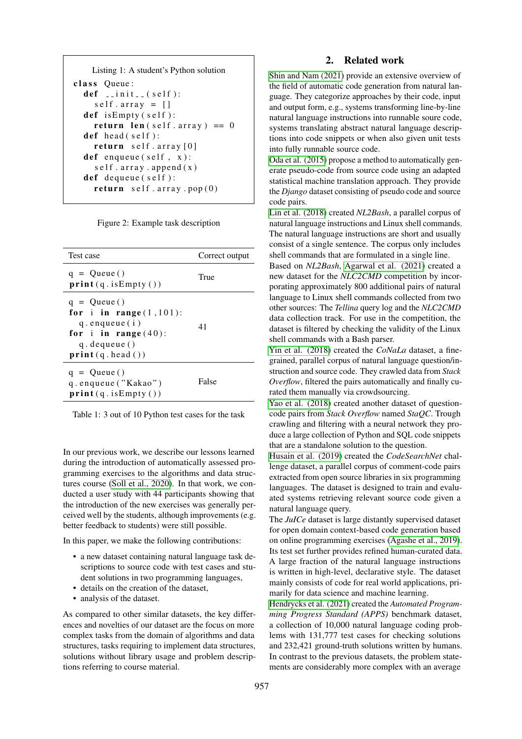```
Listing 1: A student's Python solution
class Queue:
  def \sim \text{limit} = (self):self. array = []def is Empty (self):
    return len (self. array) == 0def head (self):
    return self. array[0]def enqueue (self, x):
    self. array. append(x)def dequeue (self):
    return self. array.pop(0)
```
<span id="page-1-0"></span>Figure 2: Example task description

| <b>Test case</b>                                                                                                                        | Correct output |
|-----------------------------------------------------------------------------------------------------------------------------------------|----------------|
| $q =$ Queue()<br>print(q.isEmpty())                                                                                                     | True           |
| $q = Queue()$<br>for i in range $(1,101)$ :<br>$q$ . enqueue $(i)$<br>for i in range $(40)$ :<br>$q$ . dequeue $()$<br>print(q, head()) | 41             |
| $q =$ Queue()<br>q.enqueue ("Kakao")<br>print(q.isEmpty())                                                                              | False          |

<span id="page-1-1"></span>Table 1: 3 out of 10 Python test cases for the task

In our previous work, we describe our lessons learned during the introduction of automatically assessed programming exercises to the algorithms and data structures course [\(Soll et al., 2020\)](#page-6-4). In that work, we conducted a user study with 44 participants showing that the introduction of the new exercises was generally perceived well by the students, although improvements (e.g. better feedback to students) were still possible.

In this paper, we make the following contributions:

- a new dataset containing natural language task descriptions to source code with test cases and student solutions in two programming languages,
- details on the creation of the dataset,
- analysis of the dataset.

As compared to other similar datasets, the key differences and novelties of our dataset are the focus on more complex tasks from the domain of algorithms and data structures, tasks requiring to implement data structures, solutions without library usage and problem descriptions referring to course material.

### 2. Related work

[Shin and Nam \(2021\)](#page-6-5) provide an extensive overview of the field of automatic code generation from natural language. They categorize approaches by their code, input and output form, e.g., systems transforming line-by-line natural language instructions into runnable soure code, systems translating abstract natural language descriptions into code snippets or when also given unit tests into fully runnable source code.

[Oda et al. \(2015\)](#page-6-6) propose a method to automatically generate pseudo-code from source code using an adapted statistical machine translation approach. They provide the *Django* dataset consisting of pseudo code and source code pairs.

[Lin et al. \(2018\)](#page-6-7) created *NL2Bash*, a parallel corpus of natural language instructions and Linux shell commands. The natural language instructions are short and usually consist of a single sentence. The corpus only includes shell commands that are formulated in a single line.

Based on *NL2Bash*, [Agarwal et al. \(2021\)](#page-6-8) created a new dataset for the *NLC2CMD* competition by incorporating approximately 800 additional pairs of natural language to Linux shell commands collected from two other sources: The *Tellina* query log and the *NLC2CMD* data collection track. For use in the competition, the dataset is filtered by checking the validity of the Linux shell commands with a Bash parser.

[Yin et al. \(2018\)](#page-6-9) created the *CoNaLa* dataset, a finegrained, parallel corpus of natural language question/instruction and source code. They crawled data from *Stack Overflow*, filtered the pairs automatically and finally curated them manually via crowdsourcing.

[Yao et al. \(2018\)](#page-6-10) created another dataset of questioncode pairs from *Stack Overflow* named *StaQC*. Trough crawling and filtering with a neural network they produce a large collection of Python and SQL code snippets that are a standalone solution to the question.

[Husain et al. \(2019\)](#page-6-11) created the *CodeSearchNet* challenge dataset, a parallel corpus of comment-code pairs extracted from open source libraries in six programming languages. The dataset is designed to train and evaluated systems retrieving relevant source code given a natural language query.

The *JuICe* dataset is large distantly supervised dataset for open domain context-based code generation based on online programming exercises [\(Agashe et al., 2019\)](#page-6-12). Its test set further provides refined human-curated data. A large fraction of the natural language instructions is written in high-level, declarative style. The dataset mainly consists of code for real world applications, primarily for data science and machine learning.

[Hendrycks et al. \(2021\)](#page-6-13) created the *Automated Programming Progress Standard (APPS)* benchmark dataset, a collection of 10,000 natural language coding problems with 131,777 test cases for checking solutions and 232,421 ground-truth solutions written by humans. In contrast to the previous datasets, the problem statements are considerably more complex with an average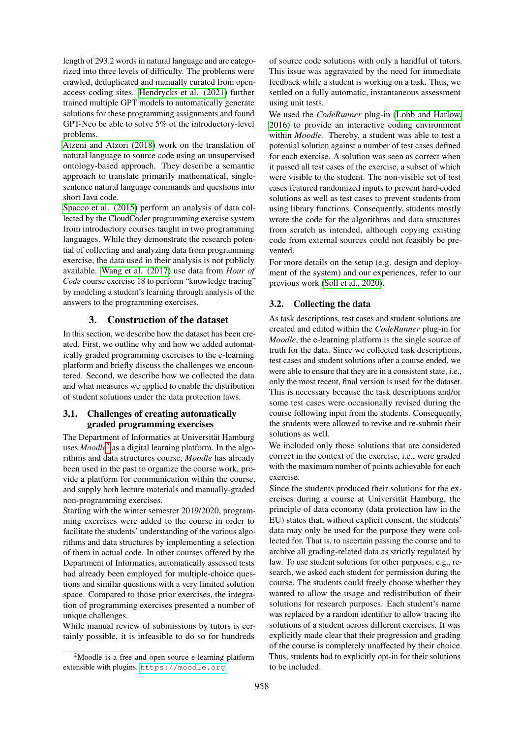length of 293.2 words in natural language and are categorized into three levels of difficulty. The problems were crawled, deduplicated and manually curated from openaccess coding sites. [Hendrycks et al. \(2021\)](#page-6-13) further trained multiple GPT models to automatically generate solutions for these programming assignments and found GPT-Neo be able to solve 5% of the introductory-level problems.

[Atzeni and Atzori \(2018\)](#page-6-14) work on the translation of natural language to source code using an unsupervised ontology-based approach. They describe a semantic approach to translate primarily mathematical, singlesentence natural language commands and questions into short Java code.

[Spacco et al. \(2015\)](#page-6-15) perform an analysis of data collected by the CloudCoder programming exercise system from introductory courses taught in two programming languages. While they demonstrate the research potential of collecting and analyzing data from programming exercise, the data used in their analysis is not publicly available. [Wang et al. \(2017\)](#page-6-16) use data from *Hour of Code* course exercise 18 to perform "knowledge tracing" by modeling a student's learning through analysis of the answers to the programming exercises.

#### 3. Construction of the dataset

In this section, we describe how the dataset has been created. First, we outline why and how we added automatically graded programming exercises to the e-learning platform and briefly discuss the challenges we encountered. Second, we describe how we collected the data and what measures we applied to enable the distribution of student solutions under the data protection laws.

# 3.1. Challenges of creating automatically graded programming exercises

The Department of Informatics at Universität Hamburg uses *Moodle*<sup>[2](#page-2-0)</sup> as a digital learning platform. In the algorithms and data structures course, *Moodle* has already been used in the past to organize the course work, provide a platform for communication within the course, and supply both lecture materials and manually-graded non-programming exercises.

Starting with the winter semester 2019/2020, programming exercises were added to the course in order to facilitate the students' understanding of the various algorithms and data structures by implementing a selection of them in actual code. In other courses offered by the Department of Informatics, automatically assessed tests had already been employed for multiple-choice questions and similar questions with a very limited solution space. Compared to those prior exercises, the integration of programming exercises presented a number of unique challenges.

While manual review of submissions by tutors is certainly possible, it is infeasible to do so for hundreds

of source code solutions with only a handful of tutors. This issue was aggravated by the need for immediate feedback while a student is working on a task. Thus, we settled on a fully automatic, instantaneous assessment using unit tests.

We used the *CodeRunner* plug-in [\(Lobb and Harlow,](#page-6-17) [2016\)](#page-6-17) to provide an interactive coding environment within *Moodle*. Thereby, a student was able to test a potential solution against a number of test cases defined for each exercise. A solution was seen as correct when it passed all test cases of the exercise, a subset of which were visible to the student. The non-visible set of test cases featured randomized inputs to prevent hard-coded solutions as well as test cases to prevent students from using library functions. Consequently, students mostly wrote the code for the algorithms and data structures from scratch as intended, although copying existing code from external sources could not feasibly be prevented.

For more details on the setup (e.g. design and deployment of the system) and our experiences, refer to our previous work [\(Soll et al., 2020\)](#page-6-4).

## 3.2. Collecting the data

As task descriptions, test cases and student solutions are created and edited within the *CodeRunner* plug-in for *Moodle*, the e-learning platform is the single source of truth for the data. Since we collected task descriptions, test cases and student solutions after a course ended, we were able to ensure that they are in a consistent state, i.e., only the most recent, final version is used for the dataset. This is necessary because the task descriptions and/or some test cases were occasionally revised during the course following input from the students. Consequently, the students were allowed to revise and re-submit their solutions as well.

We included only those solutions that are considered correct in the context of the exercise, i.e., were graded with the maximum number of points achievable for each exercise.

Since the students produced their solutions for the exercises during a course at Universität Hamburg, the principle of data economy (data protection law in the EU) states that, without explicit consent, the students' data may only be used for the purpose they were collected for. That is, to ascertain passing the course and to archive all grading-related data as strictly regulated by law. To use student solutions for other purposes, e.g., research, we asked each student for permission during the course. The students could freely choose whether they wanted to allow the usage and redistribution of their solutions for research purposes. Each student's name was replaced by a random identifier to allow tracing the solutions of a student across different exercises. It was explicitly made clear that their progression and grading of the course is completely unaffected by their choice. Thus, students had to explicitly opt-in for their solutions to be included.

<span id="page-2-0"></span> $2^2$ Moodle is a free and open-source e-learning platform extensible with plugins. <https://moodle.org>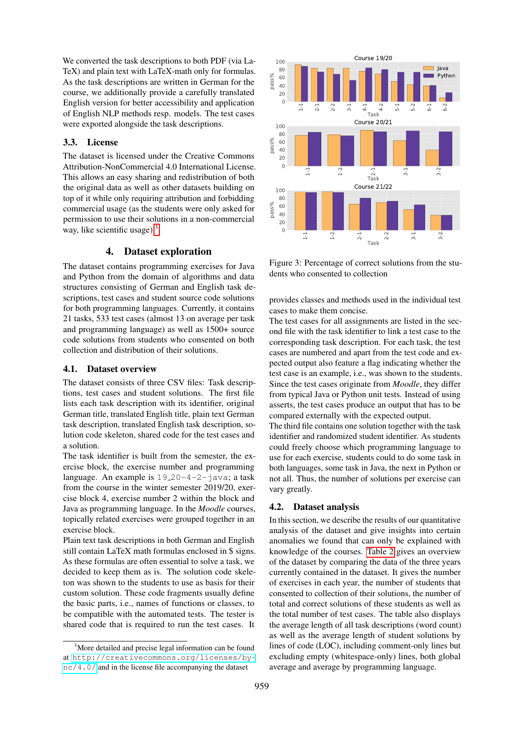We converted the task descriptions to both PDF (via La-TeX) and plain text with LaTeX-math only for formulas. As the task descriptions are written in German for the course, we additionally provide a carefully translated English version for better accessibility and application of English NLP methods resp. models. The test cases were exported alongside the task descriptions.

# 3.3. License

The dataset is licensed under the Creative Commons Attribution-NonCommercial 4.0 International License. This allows an easy sharing and redistribution of both the original data as well as other datasets building on top of it while only requiring attribution and forbidding commercial usage (as the students were only asked for permission to use their solutions in a non-commercial way, like scientific usage). $3$ 

### 4. Dataset exploration

The dataset contains programming exercises for Java and Python from the domain of algorithms and data structures consisting of German and English task descriptions, test cases and student source code solutions for both programming languages. Currently, it contains 21 tasks, 533 test cases (almost 13 on average per task and programming language) as well as 1500+ source code solutions from students who consented on both collection and distribution of their solutions.

# 4.1. Dataset overview

The dataset consists of three CSV files: Task descriptions, test cases and student solutions. The first file lists each task description with its identifier, original German title, translated English title, plain text German task description, translated English task description, solution code skeleton, shared code for the test cases and a solution.

The task identifier is built from the semester, the exercise block, the exercise number and programming language. An example is  $19-20-4-2-1$  java; a task from the course in the winter semester 2019/20, exercise block 4, exercise number 2 within the block and Java as programming language. In the *Moodle* courses, topically related exercises were grouped together in an exercise block.

Plain text task descriptions in both German and English still contain LaTeX math formulas enclosed in \$ signs. As these formulas are often essential to solve a task, we decided to keep them as is. The solution code skeleton was shown to the students to use as basis for their custom solution. These code fragments usually define the basic parts, i.e., names of functions or classes, to be compatible with the automated tests. The tester is shared code that is required to run the test cases. It ncellar the back constant and the license in  $\frac{1}{2}$  and  $\frac{1}{2}$  and  $\frac{1}{2}$  and  $\frac{1}{2}$  and  $\frac{1}{2}$  and  $\frac{1}{2}$  and  $\frac{1}{2}$  and  $\frac{1}{2}$  and  $\frac{1}{2}$  and  $\frac{1}{2}$  and  $\frac{1}{2}$  and  $\frac{1}{2}$  and  $\frac{1}{2}$ 



<span id="page-3-1"></span>Figure 3: Percentage of correct solutions from the students who consented to collection

provides classes and methods used in the individual test cases to make them concise.

The test cases for all assignments are listed in the second file with the task identifier to link a test case to the corresponding task description. For each task, the test cases are numbered and apart from the test code and expected output also feature a flag indicating whether the test case is an example, i.e., was shown to the students. Since the test cases originate from *Moodle*, they differ from typical Java or Python unit tests. Instead of using asserts, the test cases produce an output that has to be compared externally with the expected output.

The third file contains one solution together with the task identifier and randomized student identifier. As students could freely choose which programming language to use for each exercise, students could to do some task in both languages, some task in Java, the next in Python or not all. Thus, the number of solutions per exercise can vary greatly.

#### 4.2. Dataset analysis

In this section, we describe the results of our quantitative analysis of the dataset and give insights into certain anomalies we found that can only be explained with knowledge of the courses. [Table 2](#page-4-0) gives an overview of the dataset by comparing the data of the three years currently contained in the dataset. It gives the number of exercises in each year, the number of students that consented to collection of their solutions, the number of total and correct solutions of these students as well as the total number of test cases. The table also displays the average length of all task descriptions (word count) as well as the average length of student solutions by lines of code (LOC), including comment-only lines but excluding empty (whitespace-only) lines, both global average and average by programming language.

<span id="page-3-0"></span><sup>&</sup>lt;sup>3</sup>More detailed and precise legal information can be found at [http://creativecommons.org/licenses/by-](http://creativecommons.org/licenses/by-nc/4.0/)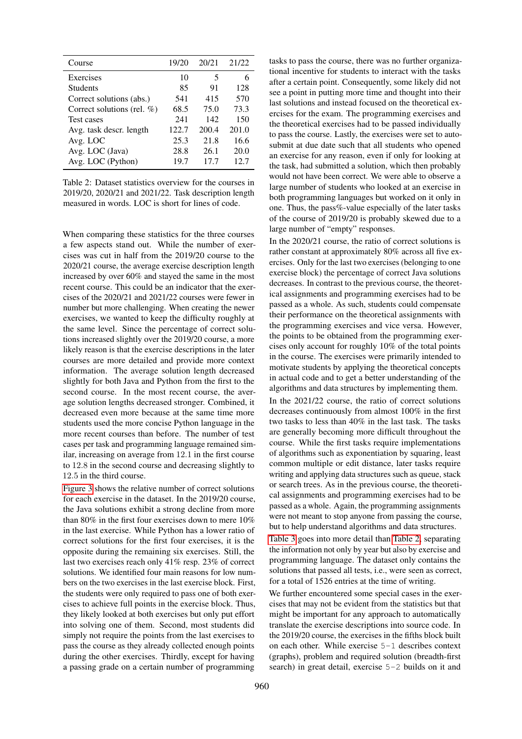| Course                        | 19/20 | 20/21 | 21/22 |
|-------------------------------|-------|-------|-------|
| Exercises                     | 10    | 5     |       |
| <b>Students</b>               | 85    | 91    | 128   |
| Correct solutions (abs.)      | 541   | 415   | 570   |
| Correct solutions (rel. $%$ ) | 68.5  | 75.0  | 73.3  |
| <b>Test cases</b>             | 241   | 142   | 150   |
| Avg. task descr. length       | 122.7 | 200.4 | 201.0 |
| Avg. LOC                      | 25.3  | 21.8  | 16.6  |
| Avg. LOC (Java)               | 28.8  | 26.1  | 20.0  |
| Avg. LOC (Python)             | 19.7  | 17.7  | 12.7  |

<span id="page-4-0"></span>Table 2: Dataset statistics overview for the courses in 2019/20, 2020/21 and 2021/22. Task description length measured in words. LOC is short for lines of code.

When comparing these statistics for the three courses a few aspects stand out. While the number of exercises was cut in half from the 2019/20 course to the 2020/21 course, the average exercise description length increased by over 60% and stayed the same in the most recent course. This could be an indicator that the exercises of the 2020/21 and 2021/22 courses were fewer in number but more challenging. When creating the newer exercises, we wanted to keep the difficulty roughly at the same level. Since the percentage of correct solutions increased slightly over the 2019/20 course, a more likely reason is that the exercise descriptions in the later courses are more detailed and provide more context information. The average solution length decreased slightly for both Java and Python from the first to the second course. In the most recent course, the average solution lengths decreased stronger. Combined, it decreased even more because at the same time more students used the more concise Python language in the more recent courses than before. The number of test cases per task and programming language remained similar, increasing on average from 12.1 in the first course to 12.8 in the second course and decreasing slightly to 12.5 in the third course.

[Figure 3](#page-3-1) shows the relative number of correct solutions for each exercise in the dataset. In the 2019/20 course, the Java solutions exhibit a strong decline from more than 80% in the first four exercises down to mere 10% in the last exercise. While Python has a lower ratio of correct solutions for the first four exercises, it is the opposite during the remaining six exercises. Still, the last two exercises reach only 41% resp. 23% of correct solutions. We identified four main reasons for low numbers on the two exercises in the last exercise block. First, the students were only required to pass one of both exercises to achieve full points in the exercise block. Thus, they likely looked at both exercises but only put effort into solving one of them. Second, most students did simply not require the points from the last exercises to pass the course as they already collected enough points during the other exercises. Thirdly, except for having a passing grade on a certain number of programming

tasks to pass the course, there was no further organizational incentive for students to interact with the tasks after a certain point. Consequently, some likely did not see a point in putting more time and thought into their last solutions and instead focused on the theoretical exercises for the exam. The programming exercises and the theoretical exercises had to be passed individually to pass the course. Lastly, the exercises were set to autosubmit at due date such that all students who opened an exercise for any reason, even if only for looking at the task, had submitted a solution, which then probably would not have been correct. We were able to observe a large number of students who looked at an exercise in both programming languages but worked on it only in one. Thus, the pass%-value especially of the later tasks of the course of 2019/20 is probably skewed due to a large number of "empty" responses.

In the 2020/21 course, the ratio of correct solutions is rather constant at approximately 80% across all five exercises. Only for the last two exercises (belonging to one exercise block) the percentage of correct Java solutions decreases. In contrast to the previous course, the theoretical assignments and programming exercises had to be passed as a whole. As such, students could compensate their performance on the theoretical assignments with the programming exercises and vice versa. However, the points to be obtained from the programming exercises only account for roughly 10% of the total points in the course. The exercises were primarily intended to motivate students by applying the theoretical concepts in actual code and to get a better understanding of the algorithms and data structures by implementing them.

In the 2021/22 course, the ratio of correct solutions decreases continuously from almost 100% in the first two tasks to less than 40% in the last task. The tasks are generally becoming more difficult throughout the course. While the first tasks require implementations of algorithms such as exponentiation by squaring, least common multiple or edit distance, later tasks require writing and applying data structures such as queue, stack or search trees. As in the previous course, the theoretical assignments and programming exercises had to be passed as a whole. Again, the programming assignments were not meant to stop anyone from passing the course, but to help understand algorithms and data structures.

[Table 3](#page-5-0) goes into more detail than [Table 2,](#page-4-0) separating the information not only by year but also by exercise and programming language. The dataset only contains the solutions that passed all tests, i.e., were seen as correct, for a total of 1526 entries at the time of writing.

We further encountered some special cases in the exercises that may not be evident from the statistics but that might be important for any approach to automatically translate the exercise descriptions into source code. In the 2019/20 course, the exercises in the fifths block built on each other. While exercise 5-1 describes context (graphs), problem and required solution (breadth-first search) in great detail, exercise 5-2 builds on it and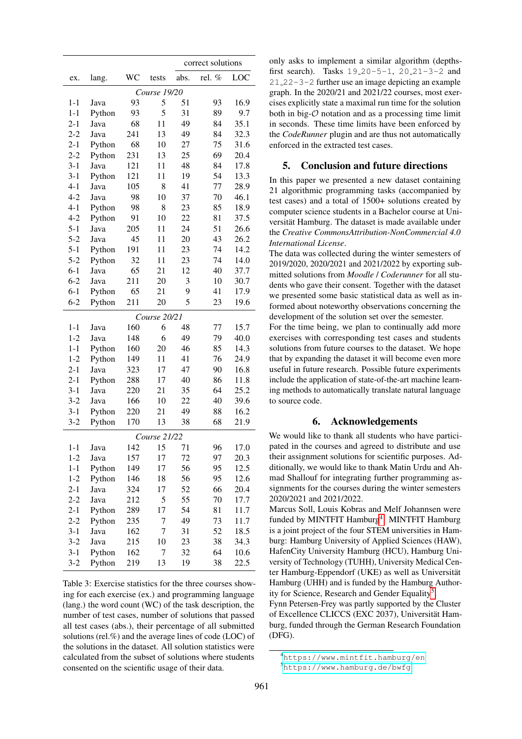|              |        |     |              | correct solutions |        |      |  |  |  |
|--------------|--------|-----|--------------|-------------------|--------|------|--|--|--|
| ex.          | lang.  | WC  | tests        | abs.              | rel. % | LOC  |  |  |  |
| Course 19/20 |        |     |              |                   |        |      |  |  |  |
| $1 - 1$      | Java   | 93  | 5            | 51                | 93     | 16.9 |  |  |  |
| $1 - 1$      | Python | 93  | 5            | 31                | 89     | 9.7  |  |  |  |
| $2 - 1$      | Java   | 68  | 11           | 49                | 84     | 35.1 |  |  |  |
| $2 - 2$      | Java   | 241 | 13           | 49                | 84     | 32.3 |  |  |  |
| $2 - 1$      | Python | 68  | 10           | 27                | 75     | 31.6 |  |  |  |
| $2 - 2$      | Python | 231 | 13           | 25                | 69     | 20.4 |  |  |  |
| $3 - 1$      | Java   | 121 | 11           | 48                | 84     | 17.8 |  |  |  |
| $3 - 1$      | Python | 121 | 11           | 19                | 54     | 13.3 |  |  |  |
| $4 - 1$      | Java   | 105 | 8            | 41                | 77     | 28.9 |  |  |  |
| $4 - 2$      | Java   | 98  | 10           | 37                | 70     | 46.1 |  |  |  |
| $4 - 1$      | Python | 98  | 8            | 23                | 85     | 18.9 |  |  |  |
| $4 - 2$      | Python | 91  | 10           | 22                | 81     | 37.5 |  |  |  |
| $5 - 1$      | Java   | 205 | 11           | 24                | 51     | 26.6 |  |  |  |
| $5 - 2$      | Java   | 45  | 11           | 20                | 43     | 26.2 |  |  |  |
| $5 - 1$      | Python | 191 | 11           | 23                | 74     | 14.2 |  |  |  |
| $5 - 2$      | Python | 32  | 11           | 23                | 74     | 14.0 |  |  |  |
| $6 - 1$      | Java   | 65  | 21           | 12                | 40     | 37.7 |  |  |  |
| $6 - 2$      | Java   | 211 | 20           | 3                 | 10     | 30.7 |  |  |  |
| $6-1$        | Python | 65  | 21           | 9                 | 41     | 17.9 |  |  |  |
| $6 - 2$      | Python | 211 | 20           | 5                 | 23     | 19.6 |  |  |  |
|              |        |     | Course 20/21 |                   |        |      |  |  |  |
| $1 - 1$      | Java   | 160 | 6            | 48                | 77     | 15.7 |  |  |  |
| $1 - 2$      | Java   | 148 | 6            | 49                | 79     | 40.0 |  |  |  |
| $1-1$        | Python | 160 | 20           | 46                | 85     | 14.3 |  |  |  |
| $1 - 2$      | Python | 149 | 11           | 41                | 76     | 24.9 |  |  |  |
| $2 - 1$      | Java   | 323 | 17           | 47                | 90     | 16.8 |  |  |  |
| $2 - 1$      | Python | 288 | 17           | 40                | 86     | 11.8 |  |  |  |
| $3 - 1$      | Java   | 220 | 21           | 35                | 64     | 25.2 |  |  |  |
| $3 - 2$      | Java   | 166 | 10           | 22                | 40     | 39.6 |  |  |  |
| $3 - 1$      | Python | 220 | 21           | 49                | 88     | 16.2 |  |  |  |
| $3 - 2$      | Python | 170 | 13           | 38                | 68     | 21.9 |  |  |  |
|              |        |     | Course 21/22 |                   |        |      |  |  |  |
| $1-1$        | Java   | 142 | 15           | 71                | 96     | 17.0 |  |  |  |
| $1-2$        | Java   | 157 | 17           | 72                | 97     | 20.3 |  |  |  |
| $1 - 1$      | Python | 149 | 17           | 56                | 95     | 12.5 |  |  |  |
| $1 - 2$      | Python | 146 | 18           | 56                | 95     | 12.6 |  |  |  |
| $2 - 1$      | Java   | 324 | 17           | 52                | 66     | 20.4 |  |  |  |
| $2 - 2$      | Java   | 212 | 5            | 55                | 70     | 17.7 |  |  |  |
| $2 - 1$      | Python | 289 | 17           | 54                | 81     | 11.7 |  |  |  |
| $2 - 2$      | Python | 235 | 7            | 49                | 73     | 11.7 |  |  |  |
| $3-1$        | Java   | 162 | 7            | 31                | 52     | 18.5 |  |  |  |
| $3 - 2$      | Java   | 215 | 10           | 23                | 38     | 34.3 |  |  |  |
| $3 - 1$      | Python | 162 | 7            | 32                | 64     | 10.6 |  |  |  |
| $3 - 2$      | Python | 219 | 13           | 19                | 38     | 22.5 |  |  |  |

<span id="page-5-0"></span>Table 3: Exercise statistics for the three courses showing for each exercise (ex.) and programming language (lang.) the word count (WC) of the task description, the number of test cases, number of solutions that passed all test cases (abs.), their percentage of all submitted solutions (rel.%) and the average lines of code (LOC) of the solutions in the dataset. All solution statistics were calculated from the subset of solutions where students consented on the scientific usage of their data.

only asks to implement a similar algorithm (depthsfirst search). Tasks 19 20-5-1, 20 21-3-2 and 21 22-3-2 further use an image depicting an example graph. In the 2020/21 and 2021/22 courses, most exercises explicitly state a maximal run time for the solution both in big- $\mathcal O$  notation and as a processing time limit in seconds. These time limits have been enforced by the *CodeRunner* plugin and are thus not automatically enforced in the extracted test cases.

# 5. Conclusion and future directions

In this paper we presented a new dataset containing 21 algorithmic programming tasks (accompanied by test cases) and a total of 1500+ solutions created by computer science students in a Bachelor course at Universität Hamburg. The dataset is made available under the *Creative CommonsAttribution-NonCommercial 4.0 International License*.

The data was collected during the winter semesters of 2019/2020, 2020/2021 and 2021/2022 by exporting submitted solutions from *Moodle* / *Coderunner* for all students who gave their consent. Together with the dataset we presented some basic statistical data as well as informed about noteworthy observations concerning the development of the solution set over the semester.

For the time being, we plan to continually add more exercises with corresponding test cases and students solutions from future courses to the dataset. We hope that by expanding the dataset it will become even more useful in future research. Possible future experiments include the application of state-of-the-art machine learning methods to automatically translate natural language to source code.

#### 6. Acknowledgements

We would like to thank all students who have participated in the courses and agreed to distribute and use their assignment solutions for scientific purposes. Additionally, we would like to thank Matin Urdu and Ahmad Shallouf for integrating further programming assignments for the courses during the winter semesters 2020/2021 and 2021/2022.

Marcus Soll, Louis Kobras and Melf Johannsen were funded by MINTFIT Hamburg<sup>[4](#page-5-1)</sup>. MINTFIT Hamburg is a joint project of the four STEM universities in Hamburg: Hamburg University of Applied Sciences (HAW), HafenCity University Hamburg (HCU), Hamburg University of Technology (TUHH), University Medical Center Hamburg-Eppendorf (UKE) as well as Universität Hamburg (UHH) and is funded by the Hamburg Author-ity for Science, Research and Gender Equality<sup>[5](#page-5-2)</sup>.

Fynn Petersen-Frey was partly supported by the Cluster of Excellence CLICCS (EXC 2037), Universität Hamburg, funded through the German Research Foundation (DFG).

<span id="page-5-1"></span><sup>4</sup><https://www.mintfit.hamburg/en>

<span id="page-5-2"></span><sup>5</sup><https://www.hamburg.de/bwfg>